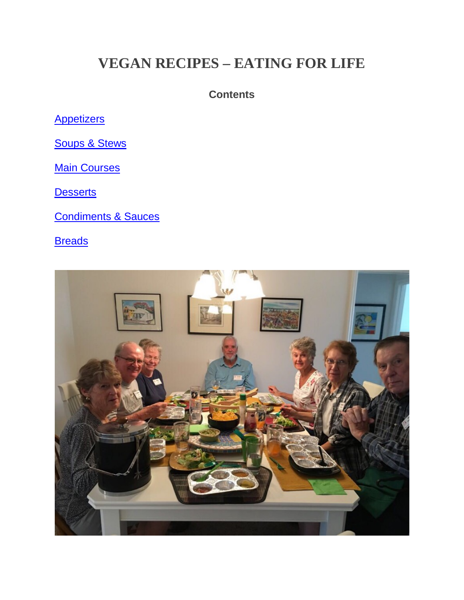## **VEGAN RECIPES – EATING FOR LIFE**

#### **Contents**

**[Appetizers](#page-21-0)** 

[Soups](#page-1-0) & Stews

**Main [Courses](#page-5-0)** 

**[Desserts](#page-9-0)** 

[Condiments](#page-17-0) & Sauces

**[Breads](#page-19-0)** 

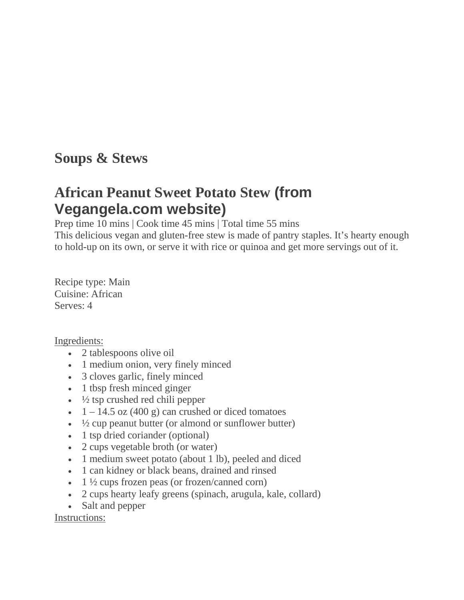### <span id="page-1-0"></span>**Soups & Stews**

### **African Peanut Sweet Potato Stew (from Vegangela.com website)**

Prep time 10 mins | Cook time 45 mins | Total time 55 mins

This delicious vegan and gluten-free stew is made of pantry staples. It's hearty enough to hold-up on its own, or serve it with rice or quinoa and get more servings out of it.

Recipe type: Main Cuisine: African Serves: 4

#### Ingredients:

- 2 tablespoons olive oil
- 1 medium onion, very finely minced
- 3 cloves garlic, finely minced
- 1 tbsp fresh minced ginger
- $\cdot$   $\frac{1}{2}$  tsp crushed red chili pepper
- $1 14.5$  oz (400 g) can crushed or diced tomatoes
- $\frac{1}{2}$  cup peanut butter (or almond or sunflower butter)
- 1 tsp dried coriander (optional)
- 2 cups vegetable broth (or water)
- 1 medium sweet potato (about 1 lb), peeled and diced
- 1 can kidney or black beans, drained and rinsed
- 1  $\frac{1}{2}$  cups frozen peas (or frozen/canned corn)
- 2 cups hearty leafy greens (spinach, arugula, kale, collard)
- Salt and pepper

Instructions: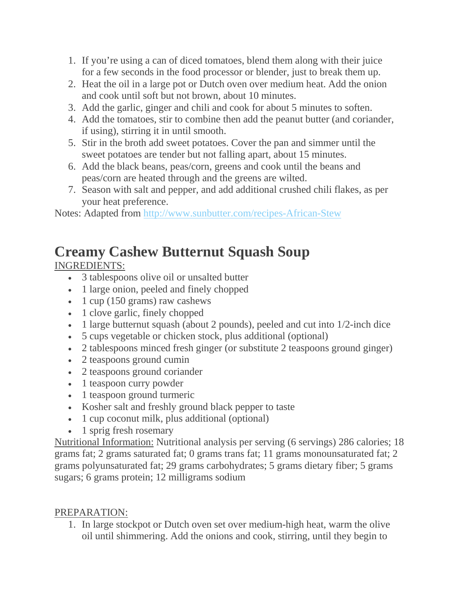- 1. If you're using a can of diced tomatoes, blend them along with their juice for a few seconds in the food processor or blender, just to break them up.
- 2. Heat the oil in a large pot or Dutch oven over medium heat. Add the onion and cook until soft but not brown, about 10 minutes.
- 3. Add the garlic, ginger and chili and cook for about 5 minutes to soften.
- 4. Add the tomatoes, stir to combine then add the peanut butter (and coriander, if using), stirring it in until smooth.
- 5. Stir in the broth add sweet potatoes. Cover the pan and simmer until the sweet potatoes are tender but not falling apart, about 15 minutes.
- 6. Add the black beans, peas/corn, greens and cook until the beans and peas/corn are heated through and the greens are wilted.
- 7. Season with salt and pepper, and add additional crushed chili flakes, as per your heat preference.

Notes: Adapted from <http://www.sunbutter.com/recipes-African-Stew>

# **Creamy Cashew Butternut Squash Soup**

INGREDIENTS:

- 3 tablespoons olive oil or unsalted butter
- 1 large onion, peeled and finely chopped
- $\cdot$  1 cup (150 grams) raw cashews
- 1 clove garlic, finely chopped
- 1 large butternut squash (about 2 pounds), peeled and cut into 1/2-inch dice
- 5 cups vegetable or chicken stock, plus additional (optional)
- 2 tablespoons minced fresh ginger (or substitute 2 teaspoons ground ginger)
- 2 teaspoons ground cumin
- 2 teaspoons ground coriander
- 1 teaspoon curry powder
- 1 teaspoon ground turmeric
- Kosher salt and freshly ground black pepper to taste
- 1 cup coconut milk, plus additional (optional)
- 1 sprig fresh rosemary

Nutritional Information: Nutritional analysis per serving (6 servings) 286 calories; 18 grams fat; 2 grams saturated fat; 0 grams trans fat; 11 grams monounsaturated fat; 2 grams polyunsaturated fat; 29 grams carbohydrates; 5 grams dietary fiber; 5 grams sugars; 6 grams protein; 12 milligrams sodium

### PREPARATION:

1. In large stockpot or Dutch oven set over medium-high heat, warm the olive oil until shimmering. Add the onions and cook, stirring, until they begin to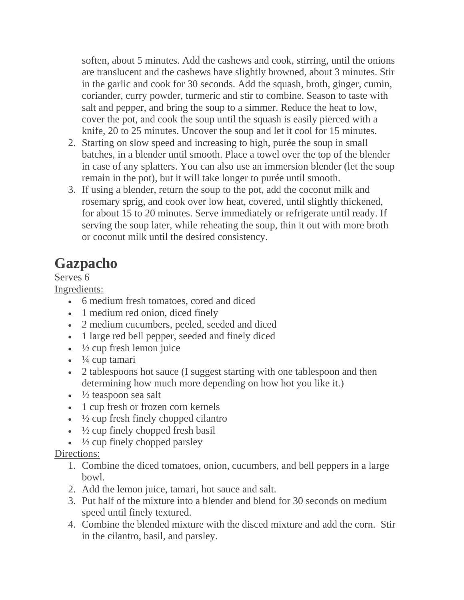soften, about 5 minutes. Add the cashews and cook, stirring, until the onions are translucent and the cashews have slightly browned, about 3 minutes. Stir in the garlic and cook for 30 seconds. Add the squash, broth, ginger, cumin, coriander, curry powder, turmeric and stir to combine. Season to taste with salt and pepper, and bring the soup to a simmer. Reduce the heat to low, cover the pot, and cook the soup until the squash is easily pierced with a knife, 20 to 25 minutes. Uncover the soup and let it cool for 15 minutes.

- 2. Starting on slow speed and increasing to high, purée the soup in small batches, in a blender until smooth. Place a towel over the top of the blender in case of any splatters. You can also use an immersion blender (let the soup remain in the pot), but it will take longer to purée until smooth.
- 3. If using a blender, return the soup to the pot, add the coconut milk and rosemary sprig, and cook over low heat, covered, until slightly thickened, for about 15 to 20 minutes. Serve immediately or refrigerate until ready. If serving the soup later, while reheating the soup, thin it out with more broth or coconut milk until the desired consistency.

# **Gazpacho**

Serves 6

Ingredients:

- 6 medium fresh tomatoes, cored and diced
- 1 medium red onion, diced finely
- 2 medium cucumbers, peeled, seeded and diced
- 1 large red bell pepper, seeded and finely diced
- $\cdot$   $\frac{1}{2}$  cup fresh lemon juice
- $\cdot$   $\frac{1}{4}$  cup tamari
- 2 tablespoons hot sauce (I suggest starting with one tablespoon and then determining how much more depending on how hot you like it.)
- $\cdot$   $\frac{1}{2}$  teaspoon sea salt
- 1 cup fresh or frozen corn kernels
- $\cdot$   $\frac{1}{2}$  cup fresh finely chopped cilantro
- $\cdot$   $\frac{1}{2}$  cup finely chopped fresh basil
- $\cdot$   $\frac{1}{2}$  cup finely chopped parsley

#### Directions:

- 1. Combine the diced tomatoes, onion, cucumbers, and bell peppers in a large bowl.
- 2. Add the lemon juice, tamari, hot sauce and salt.
- 3. Put half of the mixture into a blender and blend for 30 seconds on medium speed until finely textured.
- 4. Combine the blended mixture with the disced mixture and add the corn. Stir in the cilantro, basil, and parsley.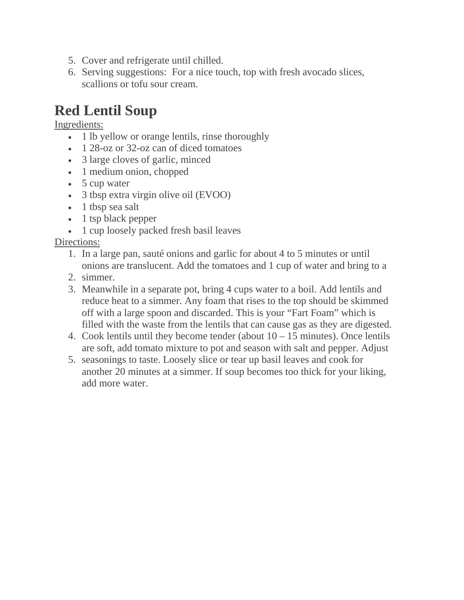- 5. Cover and refrigerate until chilled.
- 6. Serving suggestions: For a nice touch, top with fresh avocado slices, scallions or tofu sour cream.

# **Red Lentil Soup**

Ingredients:

- 1 lb yellow or orange lentils, rinse thoroughly
- 1 28-oz or 32-oz can of diced tomatoes
- 3 large cloves of garlic, minced
- 1 medium onion, chopped
- 5 cup water
- 3 tbsp extra virgin olive oil (EVOO)
- 1 tbsp sea salt
- 1 tsp black pepper
- 1 cup loosely packed fresh basil leaves

Directions:

- 1. In a large pan, sauté onions and garlic for about 4 to 5 minutes or until onions are translucent. Add the tomatoes and 1 cup of water and bring to a
- 2. simmer.
- 3. Meanwhile in a separate pot, bring 4 cups water to a boil. Add lentils and reduce heat to a simmer. Any foam that rises to the top should be skimmed off with a large spoon and discarded. This is your "Fart Foam" which is filled with the waste from the lentils that can cause gas as they are digested.
- 4. Cook lentils until they become tender (about 10 15 minutes). Once lentils are soft, add tomato mixture to pot and season with salt and pepper. Adjust
- 5. seasonings to taste. Loosely slice or tear up basil leaves and cook for another 20 minutes at a simmer. If soup becomes too thick for your liking, add more water.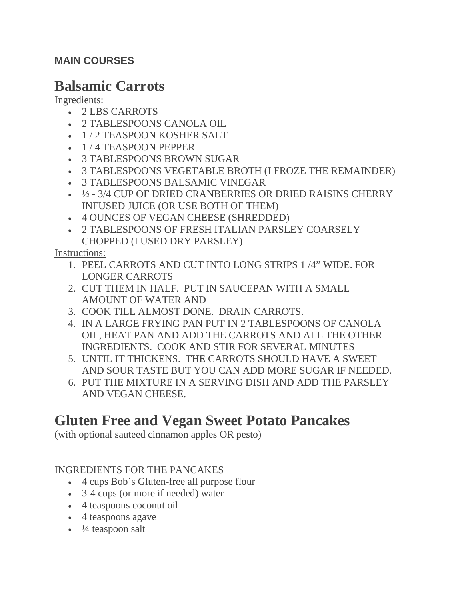#### <span id="page-5-0"></span>**MAIN COURSES**

### **Balsamic Carrots**

Ingredients:

- 2 LBS CARROTS
- 2 TABLESPOONS CANOLA OIL
- 1/2 TEASPOON KOSHER SALT
- 1/4 TEASPOON PEPPER
- 3 TABLESPOONS BROWN SUGAR
- 3 TABLESPOONS VEGETABLE BROTH (I FROZE THE REMAINDER)
- 3 TABLESPOONS BALSAMIC VINEGAR
- ½ 3/4 CUP OF DRIED CRANBERRIES OR DRIED RAISINS CHERRY INFUSED JUICE (OR USE BOTH OF THEM)
- 4 OUNCES OF VEGAN CHEESE (SHREDDED)
- 2 TABLESPOONS OF FRESH ITALIAN PARSLEY COARSELY CHOPPED (I USED DRY PARSLEY)

Instructions:

- 1. PEEL CARROTS AND CUT INTO LONG STRIPS 1 /4" WIDE. FOR LONGER CARROTS
- 2. CUT THEM IN HALF. PUT IN SAUCEPAN WITH A SMALL AMOUNT OF WATER AND
- 3. COOK TILL ALMOST DONE. DRAIN CARROTS.
- 4. IN A LARGE FRYING PAN PUT IN 2 TABLESPOONS OF CANOLA OIL, HEAT PAN AND ADD THE CARROTS AND ALL THE OTHER INGREDIENTS. COOK AND STIR FOR SEVERAL MINUTES
- 5. UNTIL IT THICKENS. THE CARROTS SHOULD HAVE A SWEET AND SOUR TASTE BUT YOU CAN ADD MORE SUGAR IF NEEDED.
- 6. PUT THE MIXTURE IN A SERVING DISH AND ADD THE PARSLEY AND VEGAN CHEESE.

## **Gluten Free and Vegan Sweet Potato Pancakes**

(with optional sauteed cinnamon apples OR pesto)

### INGREDIENTS FOR THE PANCAKES

- 4 cups Bob's Gluten-free all purpose flour
- 3-4 cups (or more if needed) water
- 4 teaspoons coconut oil
- 4 teaspoons agave
- $\cdot$   $\frac{1}{4}$  teaspoon salt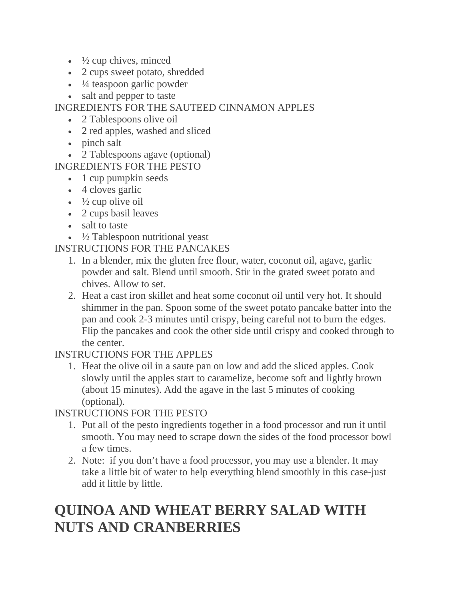- $\cdot$   $\frac{1}{2}$  cup chives, minced
- 2 cups sweet potato, shredded
- $\cdot$   $\frac{1}{4}$  teaspoon garlic powder
- salt and pepper to taste

### INGREDIENTS FOR THE SAUTEED CINNAMON APPLES

- 2 Tablespoons olive oil
- 2 red apples, washed and sliced
- pinch salt
- 2 Tablespoons agave (optional)

INGREDIENTS FOR THE PESTO

- 1 cup pumpkin seeds
- 4 cloves garlic
- $\cdot$   $\frac{1}{2}$  cup olive oil
- 2 cups basil leaves
- salt to taste
- $\frac{1}{2}$  Tablespoon nutritional yeast

### INSTRUCTIONS FOR THE PANCAKES

- 1. In a blender, mix the gluten free flour, water, coconut oil, agave, garlic powder and salt. Blend until smooth. Stir in the grated sweet potato and chives. Allow to set.
- 2. Heat a cast iron skillet and heat some coconut oil until very hot. It should shimmer in the pan. Spoon some of the sweet potato pancake batter into the pan and cook 2-3 minutes until crispy, being careful not to burn the edges. Flip the pancakes and cook the other side until crispy and cooked through to the center.

INSTRUCTIONS FOR THE APPLES

1. Heat the olive oil in a saute pan on low and add the sliced apples. Cook slowly until the apples start to caramelize, become soft and lightly brown (about 15 minutes). Add the agave in the last 5 minutes of cooking (optional).

INSTRUCTIONS FOR THE PESTO

- 1. Put all of the pesto ingredients together in a food processor and run it until smooth. You may need to scrape down the sides of the food processor bowl a few times.
- 2. Note: if you don't have a food processor, you may use a blender. It may take a little bit of water to help everything blend smoothly in this case-just add it little by little.

# **QUINOA AND WHEAT BERRY SALAD WITH NUTS AND CRANBERRIES**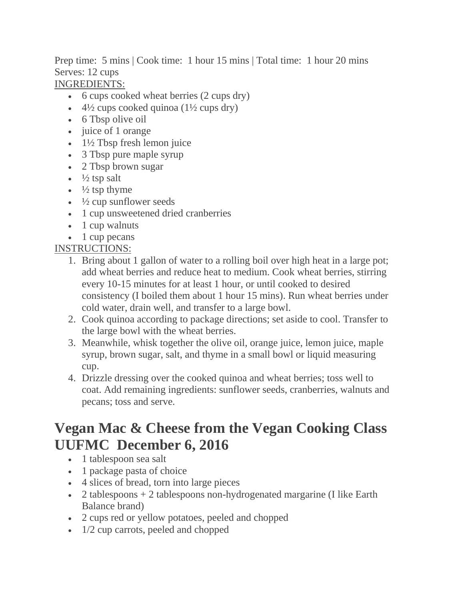Prep time: 5 mins | Cook time: 1 hour 15 mins | Total time: 1 hour 20 mins Serves: 12 cups

### INGREDIENTS:

- 6 cups cooked wheat berries (2 cups dry)
- $4\frac{1}{2}$  cups cooked quinoa ( $1\frac{1}{2}$  cups dry)
- 6 Tbsp olive oil
- juice of 1 orange
- $\cdot$  1½ Tbsp fresh lemon juice
- 3 Tbsp pure maple syrup
- 2 Tbsp brown sugar
- $\frac{1}{2}$  tsp salt
- $\cdot$   $\frac{1}{2}$  tsp thyme
- $\cdot$   $\frac{1}{2}$  cup sunflower seeds
- 1 cup unsweetened dried cranberries
- 1 cup walnuts
- 1 cup pecans

#### INSTRUCTIONS:

- 1. Bring about 1 gallon of water to a rolling boil over high heat in a large pot; add wheat berries and reduce heat to medium. Cook wheat berries, stirring every 10-15 minutes for at least 1 hour, or until cooked to desired consistency (I boiled them about 1 hour 15 mins). Run wheat berries under cold water, drain well, and transfer to a large bowl.
- 2. Cook quinoa according to package directions; set aside to cool. Transfer to the large bowl with the wheat berries.
- 3. Meanwhile, whisk together the olive oil, orange juice, lemon juice, maple syrup, brown sugar, salt, and thyme in a small bowl or liquid measuring cup.
- 4. Drizzle dressing over the cooked quinoa and wheat berries; toss well to coat. Add remaining ingredients: sunflower seeds, cranberries, walnuts and pecans; toss and serve.

### **Vegan Mac & Cheese from the Vegan Cooking Class UUFMC December 6, 2016**

- 1 tablespoon sea salt
- 1 package pasta of choice
- 4 slices of bread, torn into large pieces
- 2 tablespoons  $+ 2$  tablespoons non-hydrogenated margarine (I like Earth Balance brand)
- 2 cups red or yellow potatoes, peeled and chopped
- 1/2 cup carrots, peeled and chopped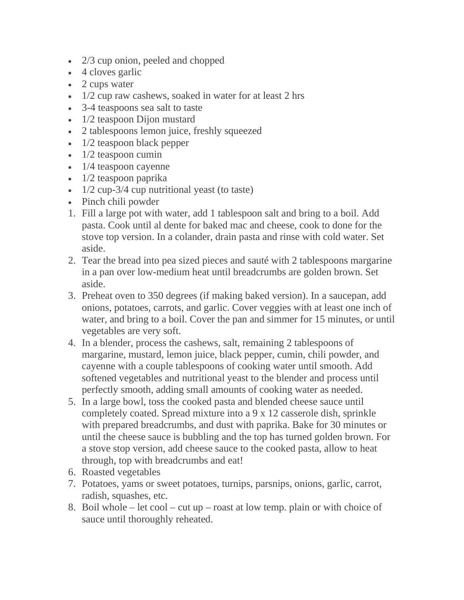- 2/3 cup onion, peeled and chopped
- 4 cloves garlic
- 2 cups water
- $\cdot$  1/2 cup raw cashews, soaked in water for at least 2 hrs
- 3-4 teaspoons sea salt to taste
- 1/2 teaspoon Dijon mustard
- 2 tablespoons lemon juice, freshly squeezed
- 1/2 teaspoon black pepper
- $\cdot$  1/2 teaspoon cumin
- 1/4 teaspoon cayenne
- 1/2 teaspoon paprika
- 1/2 cup-3/4 cup nutritional yeast (to taste)
- Pinch chili powder
- 1. Fill a large pot with water, add 1 tablespoon salt and bring to a boil. Add pasta. Cook until al dente for baked mac and cheese, cook to done for the stove top version. In a colander, drain pasta and rinse with cold water. Set aside.
- 2. Tear the bread into pea sized pieces and sauté with 2 tablespoons margarine in a pan over low-medium heat until breadcrumbs are golden brown. Set aside.
- 3. Preheat oven to 350 degrees (if making baked version). In a saucepan, add onions, potatoes, carrots, and garlic. Cover veggies with at least one inch of water, and bring to a boil. Cover the pan and simmer for 15 minutes, or until vegetables are very soft.
- 4. In a blender, process the cashews, salt, remaining 2 tablespoons of margarine, mustard, lemon juice, black pepper, cumin, chili powder, and cayenne with a couple tablespoons of cooking water until smooth. Add softened vegetables and nutritional yeast to the blender and process until perfectly smooth, adding small amounts of cooking water as needed.
- 5. In a large bowl, toss the cooked pasta and blended cheese sauce until completely coated. Spread mixture into a 9 x 12 casserole dish, sprinkle with prepared breadcrumbs, and dust with paprika. Bake for 30 minutes or until the cheese sauce is bubbling and the top has turned golden brown. For a stove stop version, add cheese sauce to the cooked pasta, allow to heat through, top with breadcrumbs and eat!
- 6. Roasted vegetables
- 7. Potatoes, yams or sweet potatoes, turnips, parsnips, onions, garlic, carrot, radish, squashes, etc.
- 8. Boil whole let cool cut up roast at low temp. plain or with choice of sauce until thoroughly reheated.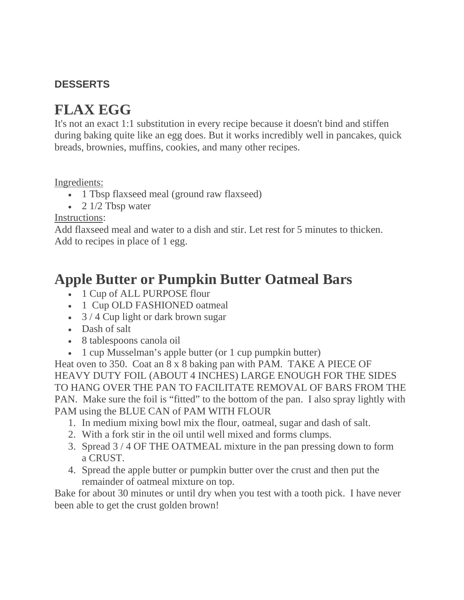### <span id="page-9-0"></span>**DESSERTS**

## **FLAX EGG**

It's not an exact 1:1 substitution in every recipe because it doesn't bind and stiffen during baking quite like an egg does. But it works incredibly well in pancakes, quick breads, brownies, muffins, cookies, and many other recipes.

Ingredients:

- 1 Tbsp flaxseed meal (ground raw flaxseed)
- 2  $1/2$  Tbsp water

Instructions:

Add flaxseed meal and water to a dish and stir. Let rest for 5 minutes to thicken. Add to recipes in place of 1 egg.

### **Apple Butter or Pumpkin Butter Oatmeal Bars**

- 1 Cup of ALL PURPOSE flour
- 1 Cup OLD FASHIONED oatmeal
- 3 / 4 Cup light or dark brown sugar
- Dash of salt
- 8 tablespoons canola oil
- 1 cup Musselman's apple butter (or 1 cup pumpkin butter)

Heat oven to 350. Coat an 8 x 8 baking pan with PAM. TAKE A PIECE OF HEAVY DUTY FOIL (ABOUT 4 INCHES) LARGE ENOUGH FOR THE SIDES TO HANG OVER THE PAN TO FACILITATE REMOVAL OF BARS FROM THE PAN. Make sure the foil is "fitted" to the bottom of the pan. I also spray lightly with PAM using the BLUE CAN of PAM WITH FLOUR

- 1. In medium mixing bowl mix the flour, oatmeal, sugar and dash of salt.
- 2. With a fork stir in the oil until well mixed and forms clumps.
- 3. Spread 3 / 4 OF THE OATMEAL mixture in the pan pressing down to form a CRUST.
- 4. Spread the apple butter or pumpkin butter over the crust and then put the remainder of oatmeal mixture on top.

Bake for about 30 minutes or until dry when you test with a tooth pick. I have never been able to get the crust golden brown!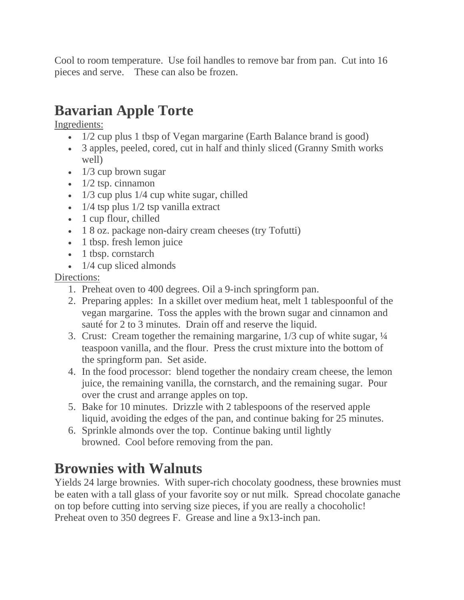Cool to room temperature. Use foil handles to remove bar from pan. Cut into 16 pieces and serve. These can also be frozen.

# **Bavarian Apple Torte**

Ingredients:

- 1/2 cup plus 1 tbsp of Vegan margarine (Earth Balance brand is good)
- 3 apples, peeled, cored, cut in half and thinly sliced (Granny Smith works well)
- 1/3 cup brown sugar
- $\cdot$  1/2 tsp. cinnamon
- $\bullet$  1/3 cup plus 1/4 cup white sugar, chilled
- $1/4$  tsp plus  $1/2$  tsp vanilla extract
- 1 cup flour, chilled
- 1 8 oz. package non-dairy cream cheeses (try Tofutti)
- 1 tbsp. fresh lemon juice
- 1 tbsp. cornstarch
- $\cdot$  1/4 cup sliced almonds

### Directions:

- 1. Preheat oven to 400 degrees. Oil a 9-inch springform pan.
- 2. Preparing apples: In a skillet over medium heat, melt 1 tablespoonful of the vegan margarine. Toss the apples with the brown sugar and cinnamon and sauté for 2 to 3 minutes. Drain off and reserve the liquid.
- 3. Crust: Cream together the remaining margarine, 1/3 cup of white sugar, ¼ teaspoon vanilla, and the flour. Press the crust mixture into the bottom of the springform pan. Set aside.
- 4. In the food processor: blend together the nondairy cream cheese, the lemon juice, the remaining vanilla, the cornstarch, and the remaining sugar. Pour over the crust and arrange apples on top.
- 5. Bake for 10 minutes. Drizzle with 2 tablespoons of the reserved apple liquid, avoiding the edges of the pan, and continue baking for 25 minutes.
- 6. Sprinkle almonds over the top. Continue baking until lightly browned. Cool before removing from the pan.

## **Brownies with Walnuts**

Yields 24 large brownies. With super-rich chocolaty goodness, these brownies must be eaten with a tall glass of your favorite soy or nut milk. Spread chocolate ganache on top before cutting into serving size pieces, if you are really a chocoholic! Preheat oven to 350 degrees F. Grease and line a 9x13-inch pan.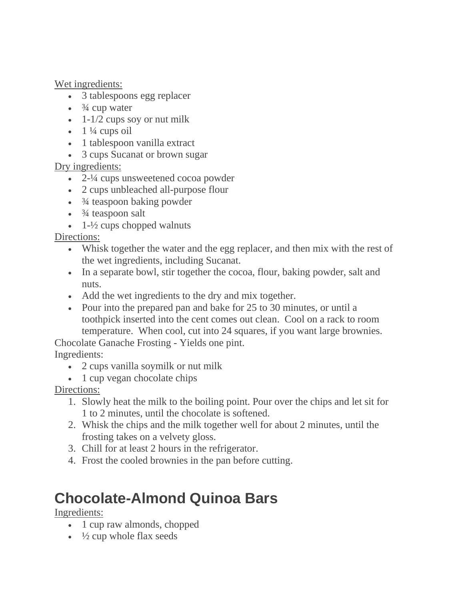Wet ingredients:

- 3 tablespoons egg replacer
- $\cdot$   $\frac{3}{4}$  cup water
- $\bullet$  1-1/2 cups soy or nut milk
- $\cdot$  1 ¼ cups oil
- 1 tablespoon vanilla extract
- 3 cups Sucanat or brown sugar

Dry ingredients:

- 2-¼ cups unsweetened cocoa powder
- 2 cups unbleached all-purpose flour
- $\cdot$   $\frac{3}{4}$  teaspoon baking powder
- $\cdot$   $\frac{3}{4}$  teaspoon salt
- $\cdot$  1- $\frac{1}{2}$  cups chopped walnuts

Directions:

- Whisk together the water and the egg replacer, and then mix with the rest of the wet ingredients, including Sucanat.
- In a separate bowl, stir together the cocoa, flour, baking powder, salt and nuts.
- Add the wet ingredients to the dry and mix together.
- Pour into the prepared pan and bake for 25 to 30 minutes, or until a toothpick inserted into the cent comes out clean. Cool on a rack to room temperature. When cool, cut into 24 squares, if you want large brownies.

Chocolate Ganache Frosting - Yields one pint.

Ingredients:

- 2 cups vanilla soymilk or nut milk
- 1 cup vegan chocolate chips

Directions:

- 1. Slowly heat the milk to the boiling point. Pour over the chips and let sit for 1 to 2 minutes, until the chocolate is softened.
- 2. Whisk the chips and the milk together well for about 2 minutes, until the frosting takes on a velvety gloss.
- 3. Chill for at least 2 hours in the refrigerator.
- 4. Frost the cooled brownies in the pan before cutting.

# **Chocolate-Almond Quinoa Bars**

Ingredients:

- 1 cup raw almonds, chopped
- $\cdot$   $\frac{1}{2}$  cup whole flax seeds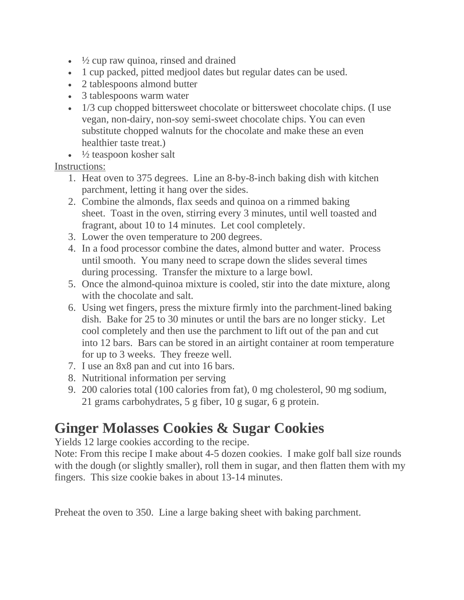- $\frac{1}{2}$  cup raw quinoa, rinsed and drained
- 1 cup packed, pitted medjool dates but regular dates can be used.
- 2 tablespoons almond butter
- 3 tablespoons warm water
- 1/3 cup chopped bittersweet chocolate or bittersweet chocolate chips. (I use vegan, non-dairy, non-soy semi-sweet chocolate chips. You can even substitute chopped walnuts for the chocolate and make these an even healthier taste treat.)
- $\cdot$   $\frac{1}{2}$  teaspoon kosher salt

#### Instructions:

- 1. Heat oven to 375 degrees. Line an 8-by-8-inch baking dish with kitchen parchment, letting it hang over the sides.
- 2. Combine the almonds, flax seeds and quinoa on a rimmed baking sheet. Toast in the oven, stirring every 3 minutes, until well toasted and fragrant, about 10 to 14 minutes. Let cool completely.
- 3. Lower the oven temperature to 200 degrees.
- 4. In a food processor combine the dates, almond butter and water. Process until smooth. You many need to scrape down the slides several times during processing. Transfer the mixture to a large bowl.
- 5. Once the almond-quinoa mixture is cooled, stir into the date mixture, along with the chocolate and salt.
- 6. Using wet fingers, press the mixture firmly into the parchment-lined baking dish. Bake for 25 to 30 minutes or until the bars are no longer sticky. Let cool completely and then use the parchment to lift out of the pan and cut into 12 bars. Bars can be stored in an airtight container at room temperature for up to 3 weeks. They freeze well.
- 7. I use an 8x8 pan and cut into 16 bars.
- 8. Nutritional information per serving
- 9. 200 calories total (100 calories from fat), 0 mg cholesterol, 90 mg sodium, 21 grams carbohydrates, 5 g fiber, 10 g sugar, 6 g protein.

# **Ginger Molasses Cookies & Sugar Cookies**

Yields 12 large cookies according to the recipe.

Note: From this recipe I make about 4-5 dozen cookies. I make golf ball size rounds with the dough (or slightly smaller), roll them in sugar, and then flatten them with my fingers. This size cookie bakes in about 13-14 minutes.

Preheat the oven to 350. Line a large baking sheet with baking parchment.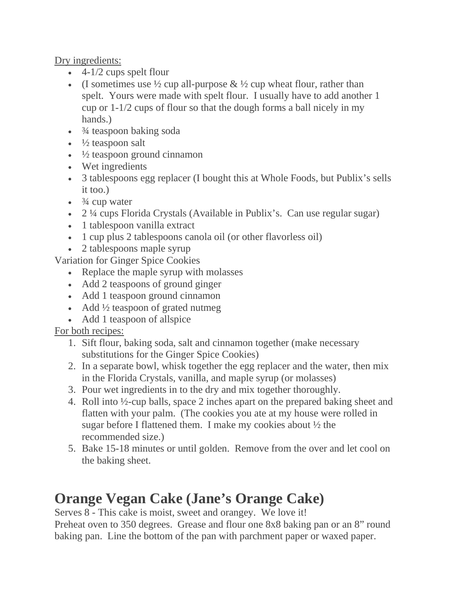Dry ingredients:

- $\cdot$  4-1/2 cups spelt flour
- (I sometimes use  $\frac{1}{2}$  cup all-purpose  $\& \frac{1}{2}$  cup wheat flour, rather than spelt. Yours were made with spelt flour. I usually have to add another 1 cup or 1-1/2 cups of flour so that the dough forms a ball nicely in my hands.)
- $\cdot$   $\frac{3}{4}$  teaspoon baking soda
- $\cdot$   $\frac{1}{2}$  teaspoon salt
- $\cdot$   $\frac{1}{2}$  teaspoon ground cinnamon
- Wet ingredients
- 3 tablespoons egg replacer (I bought this at Whole Foods, but Publix's sells it too.)
- $\cdot$   $\frac{3}{4}$  cup water
- 2 ¼ cups Florida Crystals (Available in Publix's. Can use regular sugar)
- 1 tablespoon vanilla extract
- 1 cup plus 2 tablespoons canola oil (or other flavorless oil)
- 2 tablespoons maple syrup

Variation for Ginger Spice Cookies

- Replace the maple syrup with molasses
- Add 2 teaspoons of ground ginger
- Add 1 teaspoon ground cinnamon
- Add <sup>1</sup>/<sub>2</sub> teaspoon of grated nutmeg
- Add 1 teaspoon of allspice

For both recipes:

- 1. Sift flour, baking soda, salt and cinnamon together (make necessary substitutions for the Ginger Spice Cookies)
- 2. In a separate bowl, whisk together the egg replacer and the water, then mix in the Florida Crystals, vanilla, and maple syrup (or molasses)
- 3. Pour wet ingredients in to the dry and mix together thoroughly.
- 4. Roll into ½-cup balls, space 2 inches apart on the prepared baking sheet and flatten with your palm. (The cookies you ate at my house were rolled in sugar before I flattened them. I make my cookies about ½ the recommended size.)
- 5. Bake 15-18 minutes or until golden. Remove from the over and let cool on the baking sheet.

# **Orange Vegan Cake (Jane's Orange Cake)**

Serves 8 - This cake is moist, sweet and orangey. We love it! Preheat oven to 350 degrees. Grease and flour one 8x8 baking pan or an 8" round baking pan. Line the bottom of the pan with parchment paper or waxed paper.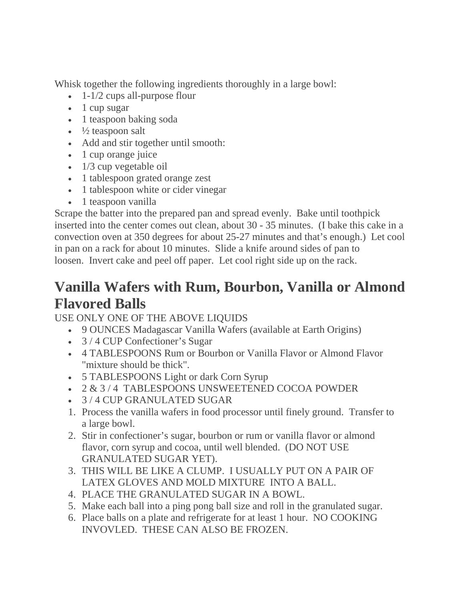Whisk together the following ingredients thoroughly in a large bowl:

- $\bullet$  1-1/2 cups all-purpose flour
- 1 cup sugar
- 1 teaspoon baking soda
- $\cdot$   $\frac{1}{2}$  teaspoon salt
- Add and stir together until smooth:
- 1 cup orange juice
- 1/3 cup vegetable oil
- 1 tablespoon grated orange zest
- 1 tablespoon white or cider vinegar
- 1 teaspoon vanilla

Scrape the batter into the prepared pan and spread evenly. Bake until toothpick inserted into the center comes out clean, about 30 - 35 minutes. (I bake this cake in a convection oven at 350 degrees for about 25-27 minutes and that's enough.) Let cool in pan on a rack for about 10 minutes. Slide a knife around sides of pan to loosen. Invert cake and peel off paper. Let cool right side up on the rack.

### **Vanilla Wafers with Rum, Bourbon, Vanilla or Almond Flavored Balls**

USE ONLY ONE OF THE ABOVE LIQUIDS

- 9 OUNCES Madagascar Vanilla Wafers (available at Earth Origins)
- 3/4 CUP Confectioner's Sugar
- 4 TABLESPOONS Rum or Bourbon or Vanilla Flavor or Almond Flavor "mixture should be thick".
- 5 TABLESPOONS Light or dark Corn Syrup
- 2 & 3 / 4 TABLESPOONS UNSWEETENED COCOA POWDER
- 3 / 4 CUP GRANULATED SUGAR
- 1. Process the vanilla wafers in food processor until finely ground. Transfer to a large bowl.
- 2. Stir in confectioner's sugar, bourbon or rum or vanilla flavor or almond flavor, corn syrup and cocoa, until well blended. (DO NOT USE GRANULATED SUGAR YET).
- 3. THIS WILL BE LIKE A CLUMP. I USUALLY PUT ON A PAIR OF LATEX GLOVES AND MOLD MIXTURE INTO A BALL.
- 4. PLACE THE GRANULATED SUGAR IN A BOWL.
- 5. Make each ball into a ping pong ball size and roll in the granulated sugar.
- 6. Place balls on a plate and refrigerate for at least 1 hour. NO COOKING INVOVLED. THESE CAN ALSO BE FROZEN.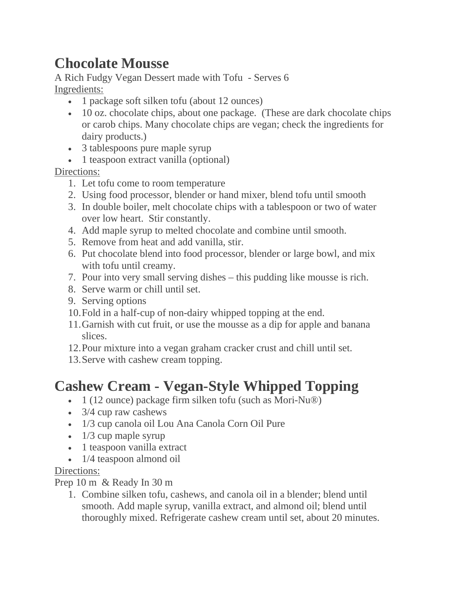## **Chocolate Mousse**

A Rich Fudgy Vegan Dessert made with Tofu - Serves 6 Ingredients:

- 1 package soft silken tofu (about 12 ounces)
- 10 oz. chocolate chips, about one package. (These are dark chocolate chips or carob chips. Many chocolate chips are vegan; check the ingredients for dairy products.)
- 3 tablespoons pure maple syrup
- 1 teaspoon extract vanilla (optional)

Directions:

- 1. Let tofu come to room temperature
- 2. Using food processor, blender or hand mixer, blend tofu until smooth
- 3. In double boiler, melt chocolate chips with a tablespoon or two of water over low heart. Stir constantly.
- 4. Add maple syrup to melted chocolate and combine until smooth.
- 5. Remove from heat and add vanilla, stir.
- 6. Put chocolate blend into food processor, blender or large bowl, and mix with tofu until creamy.
- 7. Pour into very small serving dishes this pudding like mousse is rich.
- 8. Serve warm or chill until set.
- 9. Serving options
- 10.Fold in a half-cup of non-dairy whipped topping at the end.
- 11.Garnish with cut fruit, or use the mousse as a dip for apple and banana slices.
- 12.Pour mixture into a vegan graham cracker crust and chill until set.
- 13.Serve with cashew cream topping.

# **Cashew Cream - Vegan-Style Whipped Topping**

- 1 (12 ounce) package firm silken tofu (such as Mori-Nu®)
- 3/4 cup raw cashews
- 1/3 cup canola oil Lou Ana Canola Corn Oil Pure
- $\cdot$  1/3 cup maple syrup
- 1 teaspoon vanilla extract
- 1/4 teaspoon almond oil

#### Directions:

Prep 10 m & Ready In 30 m

1. Combine silken tofu, cashews, and canola oil in a blender; blend until smooth. Add maple syrup, vanilla extract, and almond oil; blend until thoroughly mixed. Refrigerate cashew cream until set, about 20 minutes.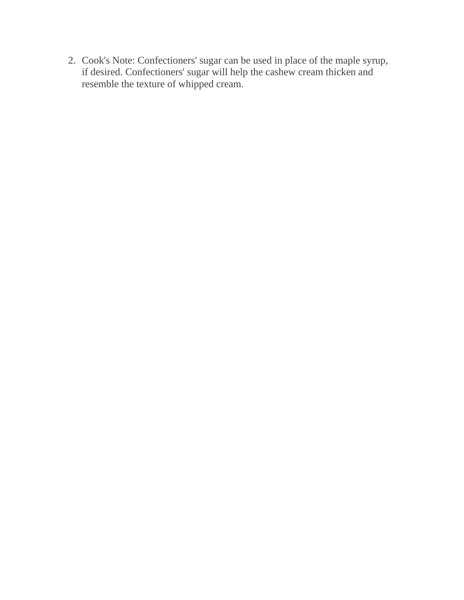2. Cook's Note: Confectioners' sugar can be used in place of the maple syrup, if desired. Confectioners' sugar will help the cashew cream thicken and resemble the texture of whipped cream.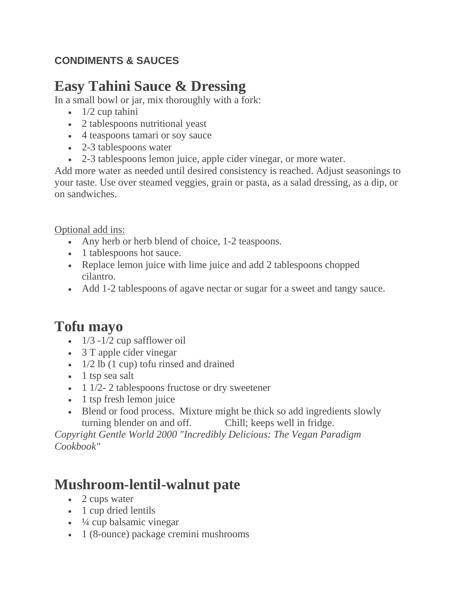### <span id="page-17-0"></span>**CONDIMENTS & SAUCES**

# **Easy Tahini Sauce & Dressing**

In a small bowl or jar, mix thoroughly with a fork:

- $\bullet$  1/2 cup tahini
- 2 tablespoons nutritional yeast
- 4 teaspoons tamari or soy sauce
- 2-3 tablespoons water
- 2-3 tablespoons lemon juice, apple cider vinegar, or more water.

Add more water as needed until desired consistency is reached. Adjust seasonings to your taste. Use over steamed veggies, grain or pasta, as a salad dressing, as a dip, or on sandwiches.

Optional add ins:

- Any herb or herb blend of choice, 1-2 teaspoons.
- 1 tablespoons hot sauce.
- Replace lemon juice with lime juice and add 2 tablespoons chopped cilantro.
- Add 1-2 tablespoons of agave nectar or sugar for a sweet and tangy sauce.

# **Tofu mayo**

- $1/3 1/2$  cup safflower oil
- 3 T apple cider vinegar
- 1/2 lb (1 cup) tofu rinsed and drained
- 1 tsp sea salt
- $\bullet$  1 1/2- 2 tablespoons fructose or dry sweetener
- 1 tsp fresh lemon juice
- Blend or food process. Mixture might be thick so add ingredients slowly turning blender on and off. Chill; keeps well in fridge.

*Copyright Gentle World 2000 "Incredibly Delicious: The Vegan Paradigm Cookbook"*

# **Mushroom-lentil-walnut pate**

- 2 cups water
- 1 cup dried lentils
- $\cdot$   $\frac{1}{4}$  cup balsamic vinegar
- 1 (8-ounce) package cremini mushrooms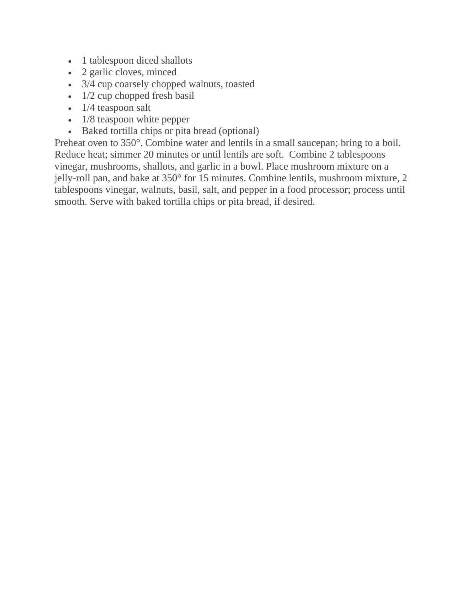- 1 tablespoon diced shallots
- 2 garlic cloves, minced
- 3/4 cup coarsely chopped walnuts, toasted
- $\cdot$  1/2 cup chopped fresh basil
- 1/4 teaspoon salt
- 1/8 teaspoon white pepper
- Baked tortilla chips or pita bread (optional)

Preheat oven to 350°. Combine water and lentils in a small saucepan; bring to a boil. Reduce heat; simmer 20 minutes or until lentils are soft. Combine 2 tablespoons vinegar, mushrooms, shallots, and garlic in a bowl. Place mushroom mixture on a jelly-roll pan, and bake at 350° for 15 minutes. Combine lentils, mushroom mixture, 2 tablespoons vinegar, walnuts, basil, salt, and pepper in a food processor; process until smooth. Serve with baked tortilla chips or pita bread, if desired.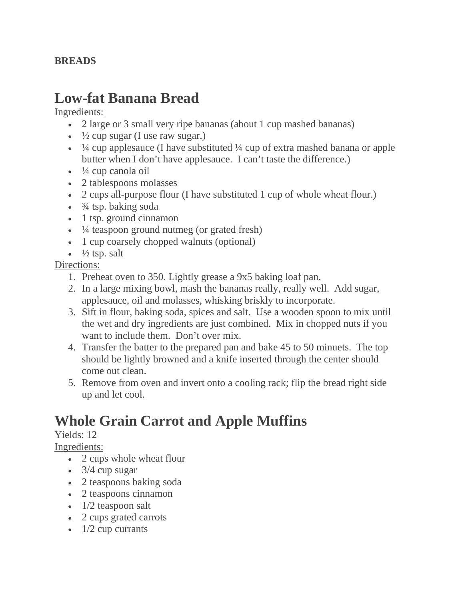#### <span id="page-19-0"></span>**BREADS**

### **Low-fat Banana Bread**

Ingredients:

- 2 large or 3 small very ripe bananas (about 1 cup mashed bananas)
- $\frac{1}{2}$  cup sugar (I use raw sugar.)
- $\frac{1}{4}$  cup applesauce (I have substituted  $\frac{1}{4}$  cup of extra mashed banana or apple butter when I don't have applesauce. I can't taste the difference.)
- $\cdot$   $\frac{1}{4}$  cup canola oil
- 2 tablespoons molasses
- 2 cups all-purpose flour (I have substituted 1 cup of whole wheat flour.)
- $\frac{3}{4}$  tsp. baking soda
- 1 tsp. ground cinnamon
- $\cdot$   $\frac{1}{4}$  teaspoon ground nutmeg (or grated fresh)
- 1 cup coarsely chopped walnuts (optional)
- $\frac{1}{2}$  tsp. salt

Directions:

- 1. Preheat oven to 350. Lightly grease a 9x5 baking loaf pan.
- 2. In a large mixing bowl, mash the bananas really, really well. Add sugar, applesauce, oil and molasses, whisking briskly to incorporate.
- 3. Sift in flour, baking soda, spices and salt. Use a wooden spoon to mix until the wet and dry ingredients are just combined. Mix in chopped nuts if you want to include them. Don't over mix.
- 4. Transfer the batter to the prepared pan and bake 45 to 50 minuets. The top should be lightly browned and a knife inserted through the center should come out clean.
- 5. Remove from oven and invert onto a cooling rack; flip the bread right side up and let cool.

# **Whole Grain Carrot and Apple Muffins**

#### Yields: 12

Ingredients:

- 2 cups whole wheat flour
- $\cdot$  3/4 cup sugar
- 2 teaspoons baking soda
- 2 teaspoons cinnamon
- $\bullet$  1/2 teaspoon salt
- 2 cups grated carrots
- $\cdot$  1/2 cup currants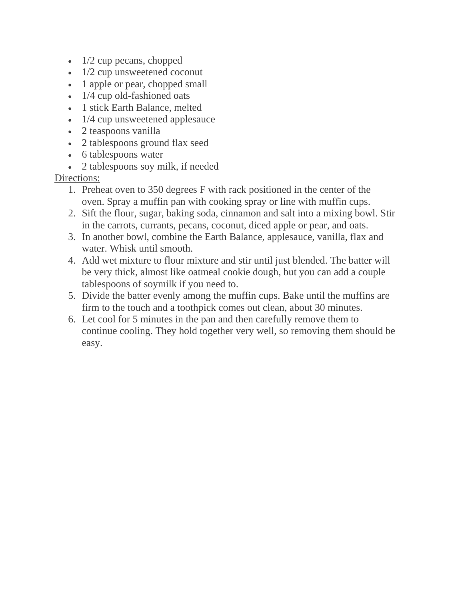- $\cdot$  1/2 cup pecans, chopped
- 1/2 cup unsweetened coconut
- 1 apple or pear, chopped small
- 1/4 cup old-fashioned oats
- 1 stick Earth Balance, melted
- 1/4 cup unsweetened applesauce
- 2 teaspoons vanilla
- 2 tablespoons ground flax seed
- 6 tablespoons water
- 2 tablespoons soy milk, if needed

#### Directions:

- 1. Preheat oven to 350 degrees F with rack positioned in the center of the oven. Spray a muffin pan with cooking spray or line with muffin cups.
- 2. Sift the flour, sugar, baking soda, cinnamon and salt into a mixing bowl. Stir in the carrots, currants, pecans, coconut, diced apple or pear, and oats.
- 3. In another bowl, combine the Earth Balance, applesauce, vanilla, flax and water. Whisk until smooth.
- 4. Add wet mixture to flour mixture and stir until just blended. The batter will be very thick, almost like oatmeal cookie dough, but you can add a couple tablespoons of soymilk if you need to.
- 5. Divide the batter evenly among the muffin cups. Bake until the muffins are firm to the touch and a toothpick comes out clean, about 30 minutes.
- 6. Let cool for 5 minutes in the pan and then carefully remove them to continue cooling. They hold together very well, so removing them should be easy.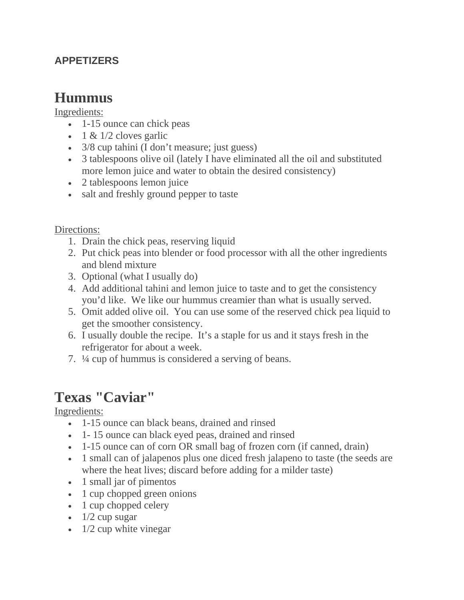### <span id="page-21-0"></span>**APPETIZERS**

### **Hummus**

#### Ingredients:

- 1-15 ounce can chick peas
- 1 &  $1/2$  cloves garlic
- 3/8 cup tahini (I don't measure; just guess)
- 3 tablespoons olive oil (lately I have eliminated all the oil and substituted more lemon juice and water to obtain the desired consistency)
- 2 tablespoons lemon juice
- salt and freshly ground pepper to taste

#### Directions:

- 1. Drain the chick peas, reserving liquid
- 2. Put chick peas into blender or food processor with all the other ingredients and blend mixture
- 3. Optional (what I usually do)
- 4. Add additional tahini and lemon juice to taste and to get the consistency you'd like. We like our hummus creamier than what is usually served.
- 5. Omit added olive oil. You can use some of the reserved chick pea liquid to get the smoother consistency.
- 6. I usually double the recipe. It's a staple for us and it stays fresh in the refrigerator for about a week.
- 7. ¼ cup of hummus is considered a serving of beans.

### **Texas "Caviar"**

Ingredients:

- 1-15 ounce can black beans, drained and rinsed
- 1 15 ounce can black eyed peas, drained and rinsed
- 1-15 ounce can of corn OR small bag of frozen corn (if canned, drain)
- 1 small can of jalapenos plus one diced fresh jalapeno to taste (the seeds are where the heat lives; discard before adding for a milder taste)
- 1 small jar of pimentos
- 1 cup chopped green onions
- 1 cup chopped celery
- $\bullet$  1/2 cup sugar
- $\cdot$  1/2 cup white vinegar